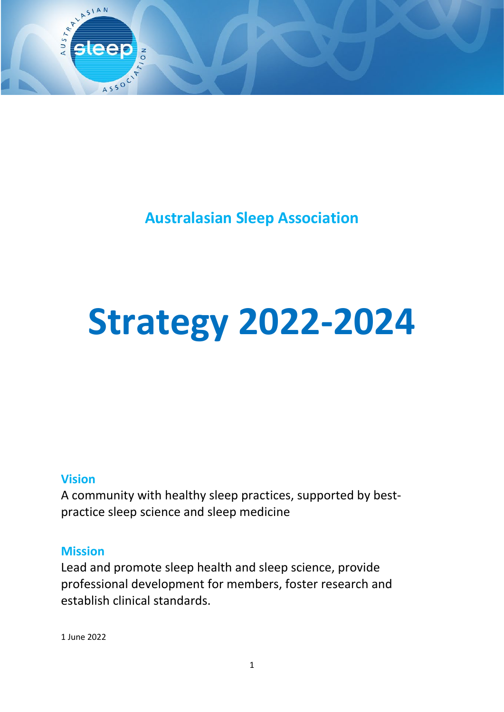

**Australasian Sleep Association**

# **Strategy 2022-2024**

#### **Vision**

A community with healthy sleep practices, supported by bestpractice sleep science and sleep medicine

#### **Mission**

Lead and promote sleep health and sleep science, provide professional development for members, foster research and establish clinical standards.

1 June 2022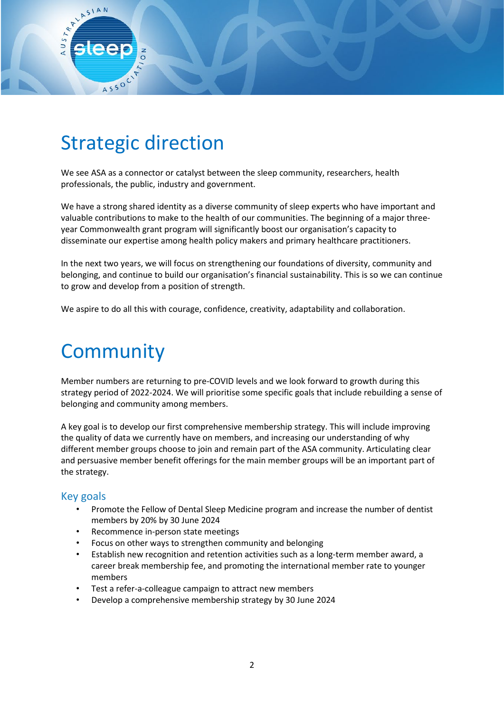

 $550^\circ$ 

ARY ASIAN

We see ASA as a connector or catalyst between the sleep community, researchers, health professionals, the public, industry and government.

We have a strong shared identity as a diverse community of sleep experts who have important and valuable contributions to make to the health of our communities. The beginning of a major threeyear Commonwealth grant program will significantly boost our organisation's capacity to disseminate our expertise among health policy makers and primary healthcare practitioners.

In the next two years, we will focus on strengthening our foundations of diversity, community and belonging, and continue to build our organisation's financial sustainability. This is so we can continue to grow and develop from a position of strength.

We aspire to do all this with courage, confidence, creativity, adaptability and collaboration.

### **Community**

Member numbers are returning to pre-COVID levels and we look forward to growth during this strategy period of 2022-2024. We will prioritise some specific goals that include rebuilding a sense of belonging and community among members.

A key goal is to develop our first comprehensive membership strategy. This will include improving the quality of data we currently have on members, and increasing our understanding of why different member groups choose to join and remain part of the ASA community. Articulating clear and persuasive member benefit offerings for the main member groups will be an important part of the strategy.

#### Key goals

- Promote the Fellow of Dental Sleep Medicine program and increase the number of dentist members by 20% by 30 June 2024
- Recommence in-person state meetings
- Focus on other ways to strengthen community and belonging
- Establish new recognition and retention activities such as a long-term member award, a career break membership fee, and promoting the international member rate to younger members
- Test a refer-a-colleague campaign to attract new members
- Develop a comprehensive membership strategy by 30 June 2024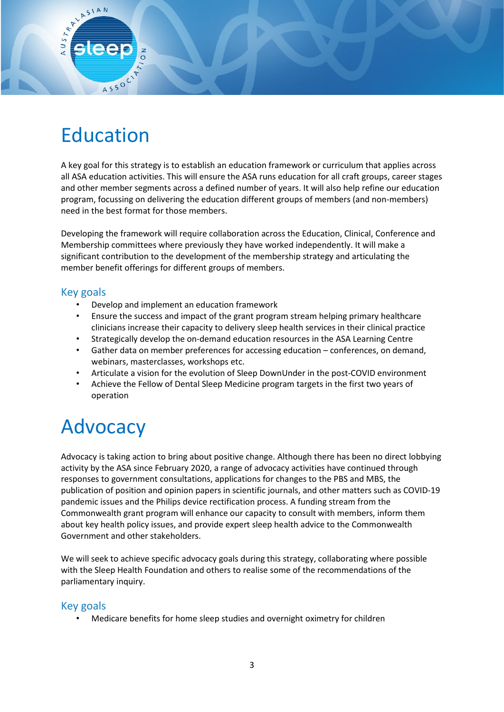# Education

1550C

ARY ASIAN

A key goal for this strategy is to establish an education framework or curriculum that applies across all ASA education activities. This will ensure the ASA runs education for all craft groups, career stages and other member segments across a defined number of years. It will also help refine our education program, focussing on delivering the education different groups of members (and non-members) need in the best format for those members.

Developing the framework will require collaboration across the Education, Clinical, Conference and Membership committees where previously they have worked independently. It will make a significant contribution to the development of the membership strategy and articulating the member benefit offerings for different groups of members.

#### Key goals

- Develop and implement an education framework
- Ensure the success and impact of the grant program stream helping primary healthcare clinicians increase their capacity to delivery sleep health services in their clinical practice
- Strategically develop the on-demand education resources in the ASA Learning Centre
- Gather data on member preferences for accessing education conferences, on demand, webinars, masterclasses, workshops etc.
- Articulate a vision for the evolution of Sleep DownUnder in the post-COVID environment
- Achieve the Fellow of Dental Sleep Medicine program targets in the first two years of operation

# Advocacy

Advocacy is taking action to bring about positive change. Although there has been no direct lobbying activity by the ASA since February 2020, a range of advocacy activities have continued through responses to government consultations, applications for changes to the PBS and MBS, the publication of position and opinion papers in scientific journals, and other matters such as COVID-19 pandemic issues and the Philips device rectification process. A funding stream from the Commonwealth grant program will enhance our capacity to consult with members, inform them about key health policy issues, and provide expert sleep health advice to the Commonwealth Government and other stakeholders.

We will seek to achieve specific advocacy goals during this strategy, collaborating where possible with the Sleep Health Foundation and others to realise some of the recommendations of the parliamentary inquiry.

#### Key goals

• Medicare benefits for home sleep studies and overnight oximetry for children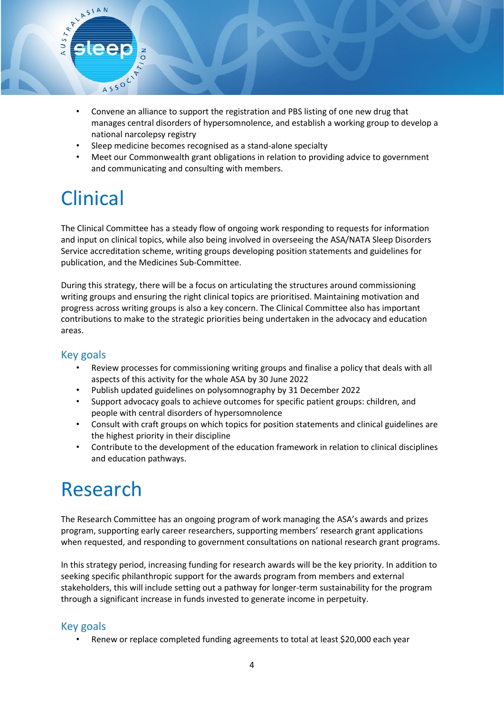

- Sleep medicine becomes recognised as a stand-alone specialty
- Meet our Commonwealth grant obligations in relation to providing advice to government and communicating and consulting with members.

## Clinical

ASSOC

ARY ASIAN

The Clinical Committee has a steady flow of ongoing work responding to requests for information and input on clinical topics, while also being involved in overseeing the ASA/NATA Sleep Disorders Service accreditation scheme, writing groups developing position statements and guidelines for publication, and the Medicines Sub-Committee.

During this strategy, there will be a focus on articulating the structures around commissioning writing groups and ensuring the right clinical topics are prioritised. Maintaining motivation and progress across writing groups is also a key concern. The Clinical Committee also has important contributions to make to the strategic priorities being undertaken in the advocacy and education areas.

#### Key goals

- Review processes for commissioning writing groups and finalise a policy that deals with all aspects of this activity for the whole ASA by 30 June 2022
- Publish updated guidelines on polysomnography by 31 December 2022
- Support advocacy goals to achieve outcomes for specific patient groups: children, and people with central disorders of hypersomnolence
- Consult with craft groups on which topics for position statements and clinical guidelines are the highest priority in their discipline
- Contribute to the development of the education framework in relation to clinical disciplines and education pathways.

### Research

The Research Committee has an ongoing program of work managing the ASA's awards and prizes program, supporting early career researchers, supporting members' research grant applications when requested, and responding to government consultations on national research grant programs.

In this strategy period, increasing funding for research awards will be the key priority. In addition to seeking specific philanthropic support for the awards program from members and external stakeholders, this will include setting out a pathway for longer-term sustainability for the program through a significant increase in funds invested to generate income in perpetuity.

#### Key goals

• Renew or replace completed funding agreements to total at least \$20,000 each year